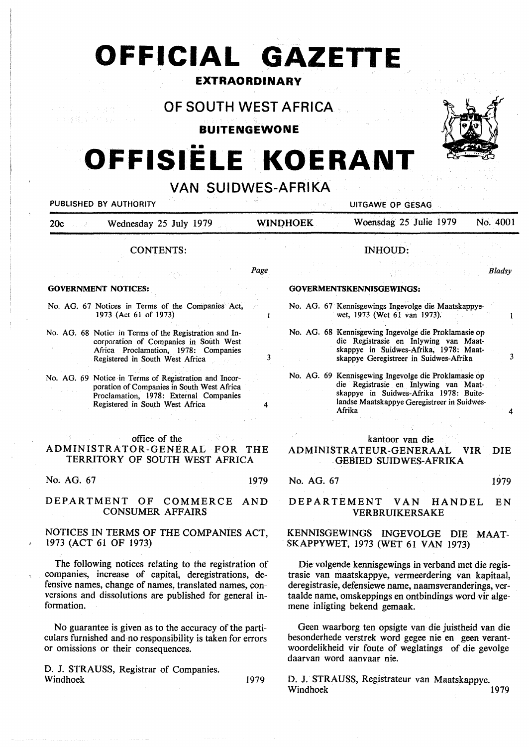# **OFFICIAL GAZETTE**

### **EXTRAORDINARY**

## **OF SOUTH WEST AFRICA**

**BUITENGEWONE** 

# •• **OFFISIELE KOERANT**



#### **VAN SUIDWES-AFRIKA**  PUBLISHED BY AUTHORITY AND RESIDENCE OF SESAGE OF GESAGE AND RESIDENCE OF GESAGE OF GESAGE OF GESAGE OF GESAGE 20c Wednesday 25 July 1979 WINI)HOEK Woensdag 25 Julie 1979 No. 4001 CONTENTS: INHOUD: *Page Bladsy*  **GOVERNMENT NOTICES: GOVERMENTSKENNISGEWINGS:**  No. AG. 67 Notices in Terms of the Companies Act, No. AG. 67 Kennisgewings Ingevolge die Maatskappye-1973 (Act 61 of 1973) wet, 1973 (Wet 61 van 1973).  $\overline{1}$  $\mathbf{1}$ No. AG. 68 Kennisgewing Ingevolge die Proklamasie op No. AG. 68 Notice in Terms of the Registration and Incorporation of Companies in South West die Registrasie en Inlywing van Maat-Africa Proclamation, 1978: Companies skappye in Suidwes-Afrika, 1978: Maat-3 skappye Geregistreer in Suidwes-Afrika 3 Registered in South West Africa No. AG. 69 Kennisgewing Ingevolge die Proklamasie op No. AG. 69 Notice in Terms of Registration and Incordie Registrasie en Inlywing van Maatporation of Companies in South West Africa skappye in Suidwes-Afrika 1978: Buite-Proclamation, 1978: External Companies landse Maatskappye Geregistreer in Suidwes-Registered in South West Africa 4 Afrika office of the kantoor van die ADMINISTRATOR-GENERAL FOR THE **ADMINISTRATEUR-GENERAAL VIR** DIE TERRITORY OF SOUTH WEST AFRICA GEBIED SUIDWES-AFRIKA No. AG. 67 1979 No. AG. 67 1979 DEPARTMENT OF COMMERCE AND DEPARTEMENT VAN HANDEL EN CONSUMER AFFAIRS VERBRUIKERSAKE NOTICES IN TERMS OF THE COMPANIES ACT, KENNISGEWINGS INGEVOLGE DIE MAAT-1973 (ACT 61 OF 1973) **SKAPPYWET,** 1973 (WET 61 VAN 1973) The following notices relating to the registration of Die volgende kennisgewings in verband met die regiscompanies, increase of capital, deregistrations, detrasie van maatskappye, vermeerdering van kapitaal, fensive names, change of names, translated names, conderegistrasie, defensiewe name, naamsveranderings, vertaalde name, omskeppings en ontbindings word vir algeversions and dissolutions are published for general information. mene inligting bekend gemaak. No guarantee is given as to the accuracy of the parti-Geen waarborg ten opsigte van die juistheid van die culars furnished and no responsibility is taken for errors besonderhede verstrek word gegee nie en geen verantwoordelikheid vir foute of weglatings of die gevolge or omissions or their consequences.

D. J. STRAUSS, Registrar of Companies. Windhoek 1979

D. J. STRAUSS, Regjstrateur van Maatskappye. Windhoek 1979

daarvan word aanvaar nie.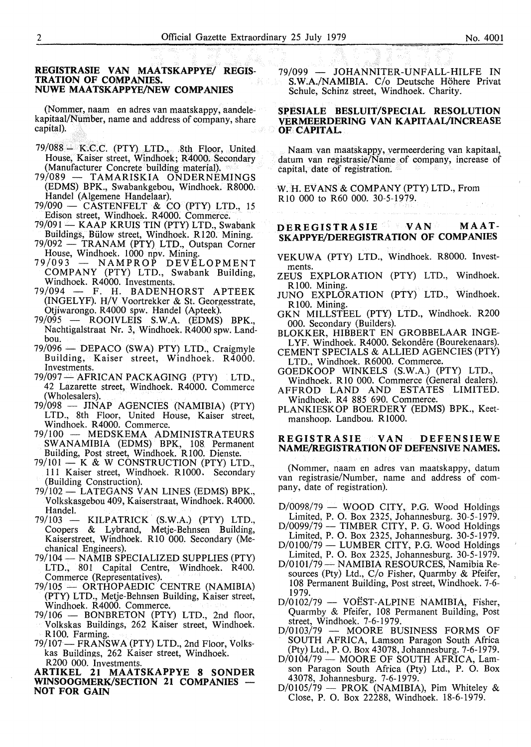#### REGISTRASIE VAN MAATSKAPPYE/ REGIS-**TRATION OF COMPANIES. NUWE MAATSKAPPYE/NEW COMPANIES**

(Nommer, naam en adres van maatskappy, aandelekapitaal/Number, name and address of company, share capital).

- $79/088 -$  K.C.C. (PTY) LTD., 8th Floor, United House, Kaiser street, Windhoek; R4000. Secondary (Manufacturer Concrete building material).<br>79/089 — TAMARISKIA ONDERNE
- TAMARISKIA ONDERNEMINGS (EDMS) BPK., Swabankgebou, Windhoek. R8000. Handel (Algemene Handelaar).
- $79/090$  CASTENFELT & CO (PTY) LTD., 15
- Edison street, Windhoek. R4000. Commerce.<br>79/091 KAAP KRUIS TIN (PTY) LTD., Swabank Buildings, Billow street, Windhoek. Rl20. Mining.
- 79/092 TRANAM (PTY) LTD., Outspan Corner House, Windhoek.  $1000$  npv. Mining.<br> $79/093$  - NAMPROP DEVE
- NAMPROP DEVELOPMENT COMPANY (PTY) LTD., Swabank Building, Windhoek. R4000. Investments.<br>79/094 - F. H. BADENH
- F. H. BADENHORST APTEEK (INGELYF). H/V Voortrekker & St. Georgesstrate, Otjiwarongo. R4000 spw. Handel (Apteek).
- 79/095 ROOIVLEIS S.W.A. (EDMS) BPK., Nachtigalstraat Nr. 3, Windhoek. R4000 spw. Landbou.
- 79/096 DEPACO (SWA) PTY) LTD., Craigmyle Building, Kaiser street, Windhoek. R4000. Investments.
- 79/097 AFRICAN PACKAGING (PTY) LTD., 42 Lazarette street, Windhoek. R4000. Commerce (Wholesalers).
- 79/098 JINAP AGENCIES (NAMIBIA) (PTY) LTD., 8th Floor, United House, Kaiser street, Windhoek. R4000. Commerce.
- 79/100 MEDSKEMA ADMINISTRATEURS SW ANAMIBIA (EDMS) BPK, 108 Permanent Building, Post street, Windhoek. RlO0. Dienste.
- $79/101 K$  & W CONSTRUCTION (PTY) LTD., 111 Kaiser street, Windhoek. Rl000. Secondary (Building Construction).
- 79/102 LATEGANS VAN LINES (EDMS) BPK., Volkskasgebou 409, Kaiserstraat, Windhoek. R4000. Handel.
- 79/103 KILPATRICK (S.W.A.) (PTY) LTD., Coopers & Lybrand, Metje-Behnsen Building, Kaiserstreet, Windhoek. RIO 000. Secondary (Mechanical Engineers).
- 79/104- **NAMIB** SPECIALIZED SUPPLIES (PTY) LTD., 801 Capital Centre, Windhoek. R400. Commerce (Representatives).
- 79/105 ORTHOPAEDIC CENTRE (NAMIBIA) (PTY) LTD., Metje-Behnsen Building, Kaiser street, Windhoek. R4000. Commerce.
- 79/106 BONBRETON (PTY) LTD., 2nd floor, Volkskas Buildings, 262 Kaiser street, Windhoek. RlO0. Farming.
- 79/107 FRANSWA (PTY) LTD., 2nd Floor, Volkskas Buildings, 262 Kaiser street, Windhoek. R200 000. Investments.

**ARTIKEL 21 MAATSKAPPYE 8 SONDER WINSOOGMERK/SECTION 21 COMPANIES NOT FOR GAIN** 

79/099 - JOHANNITER-UNFALL-HILFE IN S.W.A./NAMIBIA. *Clo* Deutsche Hohere Privat Schule, Schinz street, Windhoek. Charity.

#### **SPESIALE BESLUIT/SPECIAL RESOLUTION VERMEERDERING VAN KAPITAAL/INCREASE OF CAPITAL**

Naam van maatskappy, vermeerdering van kapitaal, datum van registrasie/Name of company, increase of capital, date of registration.

W. H. EV ANS & COMPANY (PTY) LTD., From RIO 000 to R60 000. 30-5-1979.

### **DEREGISTRASIE VAN MAAT-SKAPPYE/DEREGISTRATION OF COMPANIES**

- VEKUWA (PTY) LTD., Windhoek. R8000. Investments.
- ZEUS EXPLORATION (PTY) LTD., Windhoek. R 100. Mining.
- JUNO EXPLORATION (PTY) LTD., Windhoek. R 100. Mining.
- GKN MILLSTEEL (PTY) LTD., Windhoek. R200 000. Secondary (Builders).

BLOKKER, HIBBERT EN GROBBELAAR INGE-LYF. Windhoek. R4000. Sekondêre (Bourekenaars).

- CEMENT SPECIALS & ALLIED AGENCIES (PTY) LTD., Windhoek. R6000. Commerce.
- GOEDKOOP WINKELS (S.W.A.) (PTY) LTD., Windhoek. RIO 000. Commerce (General dealers).
- AFFROD LAND AND ESTATES LIMITED. Windhoek. R4 885 690. Commerce.
- PLANKIESKOP BOERDERY (EDMS) BPK., Keetmanshoop. Landbou. RIO00.

#### **REGISTRASIE VAN DEFENSIEWE NAME/REGISTRATION OF DEFENSIVE NAMES.**

(Nommer, naam en adres van maatskappy, datum van registrasie/Number, name and address of company, date of registration).

- $D/0098/79$  WOOD CITY, P.G. Wood Holdings Limited, P. 0. Box 2325, Johannesburg. 30-5-1979.
- D/0099/79 TIMBER CITY, P. G. Wood Holdings Limited, P. 0. Box 2325, Johannesburg. 30-5-1979.
- $D/0100/79$  LUMBER CITY, P.G. Wood Holdings Limited, P. 0. Box 2325, Johannesburg. 30-5-1979.
- D/0101/79 NAMIBIA RESOURCES, Namibia Resources (Pty) Ltd., C/o Fisher, Quarmby & Pfeifer, 108 Permanent Building, Post street, Windhoek. 7-6- 1979.
- $D/0102/79$  VOEST-ALPINE NAMIBIA, Fisher, Quarmby & Pfeifer, 108 Permanent Building, Post street, Windhoek. 7-6~ 1979.
- D/0103/79 MOORE BUSINESS FORMS OF SOUTH AFRICA, Lamson Paragon South Africa (Pty) Ltd., P. 0. Box 43078, Johannesburg. 7-6-1979.
- D/0104/79 MOORE OF SOUTH AFRICA, Lamson Paragon South Africa (Pty) Ltd., P. 0. Box 43078, Johannesburg. 7-6-1979.
- $D/0105/79$  PROK (NAMIBIA), Pim Whiteley & Close, P. 0. Box 22288, Windhoek. 18-6-1979.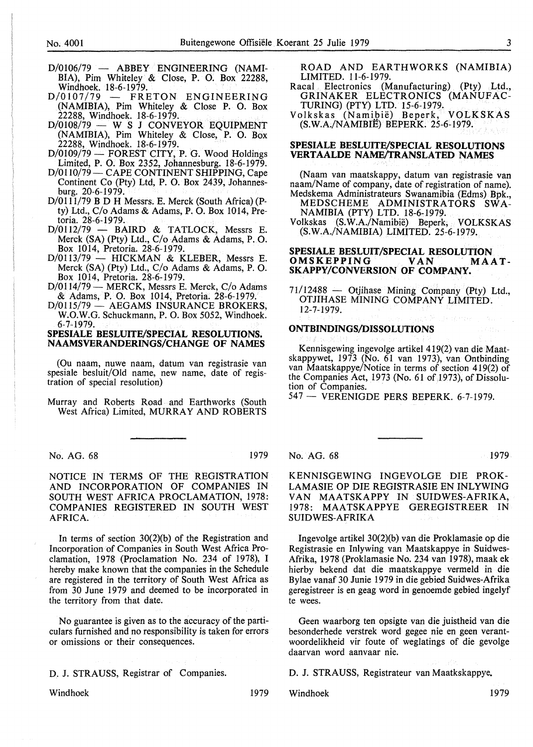- $D/0106/79$  ABBEY ENGINEERING (NAMI-BIA), Pim Whiteley & Close, P. 0. Box 22288, Windhoek. 18-6-1979.
- $D/0107/79$  FRETON ENGINEERING (NAMIBIA), Pim Whiteley & Close P. O. Box 22288, Windhoek. 18-6-1979.
- $D/0108/79 W S J CONVEYOR EQUIPMENT$ (NAMIBIA), Pim Whiteley & Close, P. 0. Box 22288, Windhoek. 18-6-1979.
- $D/0109/79$  FOREST CITY, P. G. Wood Holdings Limited, P. 0. Box 2352, Johannesburg. 18-6-1979.
- D/0110/79 CAPE CONTINENT SHIPPING, Cape Continent Co (Pty) Ltd, P. 0. Box 2439, Johannesburg. 20-6-1979.
- D/0111/79 B D H Messrs. E. Merck (South Africa) (Pty) Ltd.,  $C/O$  Adams & Adams, P.  $O$ . Box 1014, Pretoria. 28-6-1979.
- $D/0112/79$  BAIRD & TATLOCK, Messrs E. Merck (SA) (Pty) Ltd., C/o Adams & Adams, P.O. Box 1014, Pretoria. 28-6-1979.
- $D/0113/79$  HICKMAN & KLEBER, Messrs E. Merck (SA) (Pty) Ltd., C/o Adams & Adams, P. 0. Box 1014, Pretoria. 28-6-1979.
- D/0114/79 MERCK, Messrs E. Merck, C/o Adams & Adams, P. 0. Box 1014, Pretoria. 28-6-1979.
- D/0115/79 AEGAMS INSURANCE BROKERS, W.O.W.G. Schuckmann, P. 0. Box 5052, Windhoek. 6-7-1979.

#### **SPESIALE BESLUITE/SPECIAL RESOLUTIONS. NAAMSVERANDERINGS/CHANGE OF NAMES**

(Ou naam, nuwe naam, datum van registrasie van spesiale besluit/Old name, new name, date of registration of special resolution)

Murray and Roberts Road and Earthworks (South West Africa) Limited, MURRAY AND ROBERTS

No. AG. 68 1979

NOTICE IN TERMS OF THE REGISTRATION AND INCORPORATION OF COMPANIES IN SOUTH WEST AFRICA PROCLAMATION, 1978: COMPANIES REGISTERED IN SOUTH WEST AFRICA.

In terms of section 30(2)(b) of the Registration and Incorporation of Companies in South West Africa Proclamation, 1978 (Proclamation No. 234 of 1978), I hereby make known that the companies in the Schedule are registered in the territory of South West Africa as from 30 June 1979 and deemed to be incorporated in the territory from that date.

No guarantee is given as to the accuracy of the particulars furnished and no responsibility is taken for errors or omissions or their consequences.

D. J. STRAUSS, Registrar of Companies.

Windhoek 1979

ROAD AND EARTHWORKS (NAMIBIA) LIMITED. 11-6-1979.

Racal Electronics (Manufacturing) (Pty) Ltd., GRINAKER ELECTRONICS (MANUFAC-TURING) (PTY) LTD. 15-6-1979.

Volkskas (Namibië) Beperk, VOLKSKAS (S. W.A./NAMIBIE) BEPERK. 25-6-1979.

#### **SPESIALE BESLUITE/SPECIAL RESOLUTIONS VERTAALDE NAME/TRANSLATED NAMES**

(Naam van maatskappy, datum van registrasie van naam/Name of company, date of registration of name). Medskema Administrateurs Swanamibia (Edms) Bpk., MEDSCHEME ADMINISTRATORS SWA-

NAMIBIA (PTY) LTD. 18-6-1979. Volkskas (S.W.A./Namibie) Beperk, VOLKSKAS

(S.W.A./NAMIBIA) LIMITED. 25-6-1979.

#### **SPESIALE BESLUIT/SPECIAL RESOLUTION<br>OMSKEPPING VAN MAAT-OMSKEPPING SKAPPY/CONVERSION OF COMPANY.**

 $71/12488$  - Otjihase Mining Company (Pty) Ltd., OTJIHASE MINING COMPANY LIMITED. 12-7-1979.

#### **ONTBINDINGS/DISSOLUTIONS**

Kennisgewing ingevolge artikel 419(2) van die Maatskappywet, 1973 **(No.** 61 van 1973), van Ontbinding van Maatskappye/Notice in terms of section 419(2) of the Companies Act, 1973 (No. 61 of 1973), of Dissolution of Companies.

 $547 - VERENIGDE PERS BEPERK. 6-7-1979.$ 

#### No. AG. 68 1979

KENNISGEWING INGEVOLGE DIE PROK-LAMASIE OP DIE REGISTRASIE EN INLYWING VAN MAATSKAPPY IN SUIDWES-AFRIKA, 1978: MAATSKAPPYE GEREGISTREER IN SUIDWES-AFRIKA

Ingevolge artikel 30(2)(b) van die Proklamasie op die Registrasie en Inlywing van Maatskappye in Suidwes-Afrika, 1978 (Proklamasie No. 234 van 1978), maak ek hierby bekend dat die maatskappye vermeld in die Bylae vanaf 30 Junie 1979 in die gebied Suidwes-Afrika geregistreer is en geag word in genoemde gebied ingelyf te wees.

Geen waarborg ten opsigte van die juistheid van die besonderhede verstrek word gegee nie en geen verantwoordelikheid vir foute of weglatings of die gevolge daarvan word aanvaar nie.

D. J. STRAUSS, Registrateur van Maatkskappye.

Windhoek 1979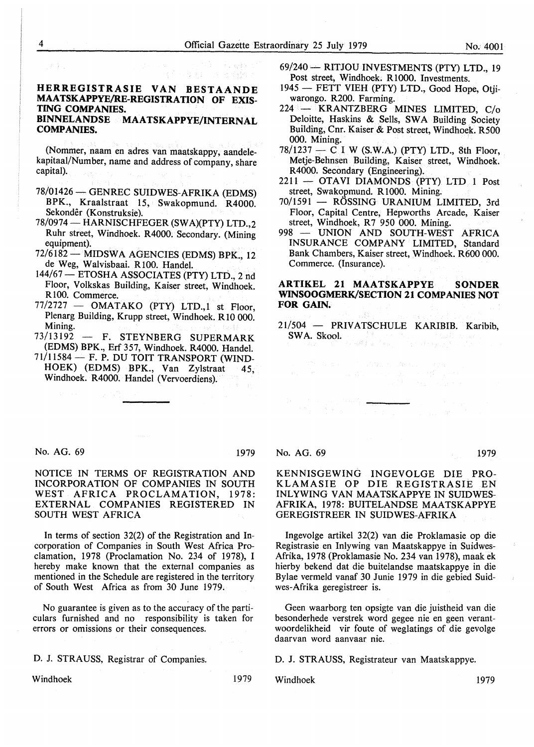#### **HERREGISTRASIE VAN BESTAANDE MAATSKAPPYE/RE-REGISTRATION OF EXIS-TING COMPANIES. BINNELANDSE MAATSKAPPYE/INTERNAL COMPANIES.**

紧定 化草酸素 人名巴比特赫维

(Nommer, naam en adres van maatskappy, aandelekapitaal/Number, name and address of company, share capital).

- 78/01426- GENREC SUIDWES-AFRIKA (EDMS) BPK., Kraalstraat 15, Swakopmund. R4000. Sekonder (Konstruksie).
- 78/0974 HARNISCHFEGER (SWA)(PTY) LTD.,2 Ruhr street, Windhoek. R4000. Secondary. (Mining equipment).
- 72/6182- MIDSWA AGENCIES (EDMS) BPK., 12 de Weg, Walvisbaai. RIOO. Handel.
- 144/67 ETOSHA ASSOCIATES (PTY) LTD., 2 nd Floor, Volkskas Building, Kaiser street, Windhoek. R 100. Commerce.
- $77/2727$  OMATAKO (PTY) LTD.,1 st Floor, Plenarg Building, Krupp street, Windhoek. R10 000. Mining.
- 73/13192 F. STEYNBERG SUPERMARK (EDMS) BPK., Erf 357, Windhoek. R4000. Handel.
- $71/11584$  F. P. DU TOIT TRANSPORT (WIND-HOEK) (EDMS) BPK., Van Zylstraat 45, Windhoek. R4000. Handel (Vervoerdiens). i in
- 69/240 -- RITJOU INVESTMENTS (PTY) LTD., 19 Post street, Windhoek. R 1000. Investments.
- 1945 FETT VIEH (PTY) LTD., Good Hope, Otjiwarongo. R200. Farming.
- 224 KRANTZBERG MINES LIMITED, C/o Deloitte, Haskins & Sells, SWA Building Society Building, Cnr. Kaiser & Post street, Windhoek. R500 000. Mining.
- $78/1237$  C I W (S.W.A.) (PTY) LTD., 8th Floor, Metje-Behnsen Building, Kaiser street, Windhoek. R4000. Secondary (Engineering).
- 2211 OTAVI DIAMONDS (PTY) LTD 1 Post street, Swakopmund. R 1000. Mining.
- 70/1591 RÖSSING URANIUM LIMITED, 3rd Floor, Capital Centre, Hepworths Arcade, Kaiser street, Windhoek, R7 950 000. Mining.
- 998 UNION AND SOUTH-WEST AFRICA INSURANCE COMPANY LIMITED, Standard Bank Chambers, Kaiser street, Windhoek. R600 000. Commerce. (Insurance).

#### **ARTIKEL 21 MAATSKAPPYE SONDER WINSOOGMERK/SECTION 21 COMPANIES NOT FOR GAIN.**

21/504 - PRIVATSCHULE KARIBIB. Karibib,  $SWA. Skool.$ 

 $\label{eq:2} \begin{split} \mathcal{F}^{\text{max}}_{\text{max}} & \mathcal{F}^{\text{max}}_{\text{max}} \left( \frac{1}{\sigma} \sum_{i=1}^{N} \frac{1}{\sigma_i} \sum_{j=1}^{N} \frac{1}{\sigma_j} \right) \mathcal{F}^{\text{max}}_{\text{max}} \left( \frac{1}{\sigma_i} \sum_{i=1}^{N} \frac{1}{\sigma_i} \sum_{j=1}^{N} \frac{1}{\sigma_j} \right) \mathcal{F}^{\text{max}}_{\text{max}} \left( \frac{1}{\sigma_i} \sum_{j=1}^{N} \frac{1}{\sigma_j$ 

No. AG. 69 1979

NOTICE IN TERMS OF REGISTRATION AND INCORPORATION OF COMPANIES IN SOUTH WEST AFRICA PROCLAMATION, 1978: EXTERNAL COMPANIES REGISTERED IN SOUTH WEST AFRICA

In terms of section 32(2) of the Registration and Incorporation of Companies in South West Africa Proclamation, 1978 (Proclamation No. 234 of 1978), I hereby make known that the external companies as mentioned in the Schedule are registered in the territory of South West Africa as from 30 June 1979.

No guarantee is given as to the accuracy of the particulars furnished and no responsibility is taken for errors or omissions or their consequences.

D. J. STRAUSS, Registrar of Companies.

Windhoek 1979

Windhoek 1979

No. AG. 69 1979

#### KENNISGEWING INGEVOLGE DIE PRO-KLAMASIE OP DIE REGISTRASIE EN INLYWING VAN MAATSKAPPYE IN SUIDWES-AFRIKA, 1978: BUITELANDSE MAATSKAPPYE GEREGISTREER IN SUIDWES-AFRIKA

lngevolge artikel 32(2) van die Proklamasie op die Registrasie en Inlywing van Maatskappye in Suidwes-Afrika, 1978 (Proklamasie No. 234 van 1978), maak ek hierby bekend dat die buitelandse maatskappye in die Bylae vermeld vanaf 30 Junie 1979 in die gebied Suidwes-Afrika geregistreer is.

Geen waarborg ten opsigte van die juistheid van die besonderhede verstrek word gegee nie en geen verantwoordelikheid vir foute of weglatings of die gevolge daarvan word aanvaar nie.

D. J. STRAUSS, Registrateur van Maatskappye.

 $\{R_i\}_{i\in I}$